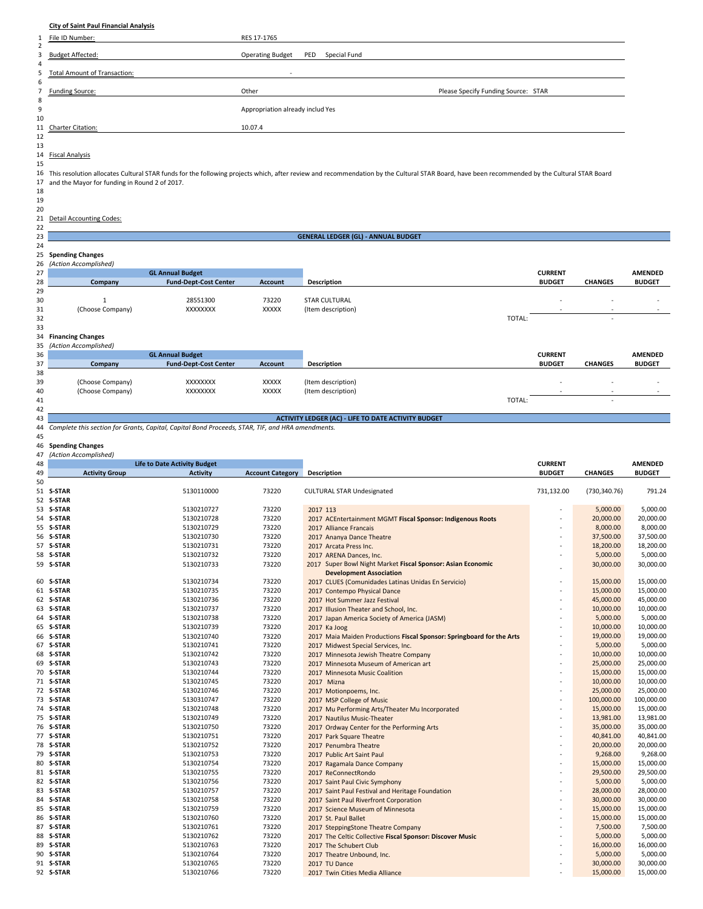## **City of Saint Paul Financial Analysis**

|    | File ID Number:                                  | RES 17-1765                                                                                                                                                                                     |                                     |
|----|--------------------------------------------------|-------------------------------------------------------------------------------------------------------------------------------------------------------------------------------------------------|-------------------------------------|
| 2  |                                                  |                                                                                                                                                                                                 |                                     |
| 3  | <b>Budget Affected:</b>                          | <b>Operating Budget</b><br>Special Fund<br>PED                                                                                                                                                  |                                     |
| 4  |                                                  |                                                                                                                                                                                                 |                                     |
|    | 5 Total Amount of Transaction:                   |                                                                                                                                                                                                 |                                     |
| 6  |                                                  |                                                                                                                                                                                                 |                                     |
|    | <b>Funding Source:</b>                           | Other                                                                                                                                                                                           | Please Specify Funding Source: STAR |
| 8  |                                                  |                                                                                                                                                                                                 |                                     |
| 9  |                                                  | Appropriation already includ Yes                                                                                                                                                                |                                     |
| 10 |                                                  |                                                                                                                                                                                                 |                                     |
|    | 11 Charter Citation:                             | 10.07.4                                                                                                                                                                                         |                                     |
| 12 |                                                  |                                                                                                                                                                                                 |                                     |
| 13 |                                                  |                                                                                                                                                                                                 |                                     |
|    | 14 Fiscal Analysis                               |                                                                                                                                                                                                 |                                     |
| 15 |                                                  |                                                                                                                                                                                                 |                                     |
|    |                                                  | 16 This resolution allocates Cultural STAR funds for the following projects which, after review and recommendation by the Cultural STAR Board, have been recommended by the Cultural STAR Board |                                     |
|    | 17 and the Mayor for funding in Round 2 of 2017. |                                                                                                                                                                                                 |                                     |

and the Mayor for funding in Round 2 of 2017.

# 20

# 21 Detail Accounting Codes:<br>22

| <u>__</u> |                          |                              |                |                                            |        |                |                          |                |
|-----------|--------------------------|------------------------------|----------------|--------------------------------------------|--------|----------------|--------------------------|----------------|
| 23        |                          |                              |                | <b>GENERAL LEDGER (GL) - ANNUAL BUDGET</b> |        |                |                          |                |
| 24        |                          |                              |                |                                            |        |                |                          |                |
|           | 25 Spending Changes      |                              |                |                                            |        |                |                          |                |
|           | 26 (Action Accomplished) |                              |                |                                            |        |                |                          |                |
| 27        |                          | <b>GL Annual Budget</b>      |                |                                            |        | <b>CURRENT</b> |                          | <b>AMENDED</b> |
| 28        | Company                  | <b>Fund-Dept-Cost Center</b> | <b>Account</b> | Description                                |        | <b>BUDGET</b>  | <b>CHANGES</b>           | <b>BUDGET</b>  |
| 29        |                          |                              |                |                                            |        |                |                          |                |
| 30        |                          | 28551300                     | 73220          | <b>STAR CULTURAL</b>                       |        |                |                          |                |
| 31        | (Choose Company)         | XXXXXXXX                     | XXXXX          | (Item description)                         |        |                | $\overline{\phantom{a}}$ | $\sim$         |
| 32        |                          |                              |                |                                            | TOTAL: |                | $\overline{\phantom{a}}$ |                |
| 33        |                          |                              |                |                                            |        |                |                          |                |
|           | 34 Financing Changes     |                              |                |                                            |        |                |                          |                |
| 35        | (Action Accomplished)    |                              |                |                                            |        |                |                          |                |
| 36        |                          | <b>GL Annual Budget</b>      |                |                                            |        | <b>CURRENT</b> |                          | <b>AMENDED</b> |
| 37        | Company                  | <b>Fund-Dept-Cost Center</b> | <b>Account</b> | <b>Description</b>                         |        | <b>BUDGET</b>  | <b>CHANGES</b>           | <b>BUDGET</b>  |
| 38        |                          |                              |                |                                            |        |                |                          |                |
| 39        | (Choose Company)         | <b>XXXXXXXX</b>              | <b>XXXXX</b>   | (Item description)                         |        |                |                          |                |
| 40        | (Choose Company)         | <b>XXXXXXXX</b>              | <b>XXXXX</b>   | (Item description)                         |        |                | $\overline{\phantom{a}}$ |                |
| 41        |                          |                              |                |                                            | TOTAL: |                | $\overline{\phantom{a}}$ |                |
|           |                          |                              |                |                                            |        |                |                          |                |

| 41       | TOTAL:                                                                                           |                       |                                     |                         |                                                                       |                |                |                |  |
|----------|--------------------------------------------------------------------------------------------------|-----------------------|-------------------------------------|-------------------------|-----------------------------------------------------------------------|----------------|----------------|----------------|--|
| 42       |                                                                                                  |                       |                                     |                         |                                                                       |                |                |                |  |
| 43       | <b>ACTIVITY LEDGER (AC) - LIFE TO DATE ACTIVITY BUDGET</b>                                       |                       |                                     |                         |                                                                       |                |                |                |  |
| 44       | Complete this section for Grants, Capital, Capital Bond Proceeds, STAR, TIF, and HRA amendments. |                       |                                     |                         |                                                                       |                |                |                |  |
| 45       |                                                                                                  |                       |                                     |                         |                                                                       |                |                |                |  |
| 46       | <b>Spending Changes</b>                                                                          |                       |                                     |                         |                                                                       |                |                |                |  |
| 47       |                                                                                                  | (Action Accomplished) |                                     |                         |                                                                       |                |                |                |  |
| 48       |                                                                                                  |                       | <b>Life to Date Activity Budget</b> |                         |                                                                       | <b>CURRENT</b> |                | <b>AMENDED</b> |  |
| 49<br>50 |                                                                                                  | <b>Activity Group</b> | <b>Activity</b>                     | <b>Account Category</b> | <b>Description</b>                                                    | <b>BUDGET</b>  | <b>CHANGES</b> | <b>BUDGET</b>  |  |
|          | 51 S-STAR                                                                                        |                       | 5130110000                          | 73220                   |                                                                       |                |                | 791.24         |  |
|          | 52 S-STAR                                                                                        |                       |                                     |                         | CULTURAL STAR Undesignated                                            | 731,132.00     | (730, 340.76)  |                |  |
|          | 53 S-STAR                                                                                        |                       | 5130210727                          | 73220                   | 2017 113                                                              |                | 5,000.00       | 5,000.00       |  |
|          | 54 S-STAR                                                                                        |                       | 5130210728                          | 73220                   | 2017 ACEntertainment MGMT Fiscal Sponsor: Indigenous Roots            |                | 20,000.00      | 20,000.00      |  |
|          | 55 S-STAR                                                                                        |                       | 5130210729                          | 73220                   | 2017 Alliance Francais                                                |                | 8,000.00       | 8,000.00       |  |
|          | 56 S-STAR                                                                                        |                       | 5130210730                          | 73220                   | 2017 Ananya Dance Theatre                                             |                | 37,500.00      | 37,500.00      |  |
|          | 57 S-STAR                                                                                        |                       | 5130210731                          | 73220                   | 2017 Arcata Press Inc.                                                |                | 18,200.00      | 18,200.00      |  |
|          | 58 S-STAR                                                                                        |                       | 5130210732                          | 73220                   | 2017 ARENA Dances, Inc.                                               |                | 5,000.00       | 5,000.00       |  |
|          | 59 S-STAR                                                                                        |                       | 5130210733                          | 73220                   | 2017 Super Bowl Night Market Fiscal Sponsor: Asian Economic           |                | 30,000.00      | 30,000.00      |  |
|          |                                                                                                  |                       |                                     |                         | <b>Development Association</b>                                        |                |                |                |  |
|          | 60 S-STAR                                                                                        |                       | 5130210734                          | 73220                   | 2017 CLUES (Comunidades Latinas Unidas En Servicio)                   |                | 15,000.00      | 15,000.00      |  |
|          | 61 S-STAR                                                                                        |                       | 5130210735                          | 73220                   | 2017 Contempo Physical Dance                                          |                | 15,000.00      | 15,000.00      |  |
|          | 62 S-STAR                                                                                        |                       | 5130210736                          | 73220                   | 2017 Hot Summer Jazz Festival                                         |                | 45,000.00      | 45,000.00      |  |
|          | 63 S-STAR                                                                                        |                       | 5130210737                          | 73220                   | 2017 Illusion Theater and School, Inc.                                |                | 10,000.00      | 10,000.00      |  |
|          | 64 S-STAR                                                                                        |                       | 5130210738                          | 73220                   | 2017 Japan America Society of America (JASM)                          |                | 5,000.00       | 5,000.00       |  |
|          | 65 S-STAR                                                                                        |                       | 5130210739                          | 73220                   | 2017 Ka Joog                                                          |                | 10,000.00      | 10,000.00      |  |
|          | 66 S-STAR                                                                                        |                       | 5130210740                          | 73220                   | 2017 Maia Maiden Productions Fiscal Sponsor: Springboard for the Arts |                | 19,000.00      | 19,000.00      |  |
|          | 67 S-STAR                                                                                        |                       | 5130210741                          | 73220                   | 2017 Midwest Special Services, Inc.                                   |                | 5,000.00       | 5,000.00       |  |
|          | 68 S-STAR                                                                                        |                       | 5130210742                          | 73220                   | 2017 Minnesota Jewish Theatre Company                                 |                | 10,000.00      | 10,000.00      |  |
|          | 69 S-STAR                                                                                        |                       | 5130210743                          | 73220                   | 2017 Minnesota Museum of American art                                 |                | 25,000.00      | 25,000.00      |  |
|          | 70 S-STAR                                                                                        |                       | 5130210744                          | 73220                   | 2017 Minnesota Music Coalition                                        |                | 15,000.00      | 15,000.00      |  |
|          | 71 S-STAR                                                                                        |                       | 5130210745                          | 73220                   | 2017 Mizna                                                            |                | 10,000.00      | 10,000.00      |  |
|          | 72 S-STAR                                                                                        |                       | 5130210746                          | 73220                   | 2017 Motionpoems, Inc.                                                |                | 25,000.00      | 25,000.00      |  |
|          | 73 S-STAR                                                                                        |                       | 5130310747                          | 73220                   | 2017 MSP College of Music                                             |                | 100,000.00     | 100,000.00     |  |
|          | 74 S-STAR                                                                                        |                       | 5130210748                          | 73220                   | 2017 Mu Performing Arts/Theater Mu Incorporated                       |                | 15,000.00      | 15,000.00      |  |
|          | 75 S-STAR                                                                                        |                       | 5130210749                          | 73220                   | 2017 Nautilus Music-Theater                                           |                | 13,981.00      | 13,981.00      |  |
|          | 76 S-STAR                                                                                        |                       | 5130210750                          | 73220                   | 2017 Ordway Center for the Performing Arts                            |                | 35,000.00      | 35,000.00      |  |
|          | 77 S-STAR                                                                                        |                       | 5130210751                          | 73220                   | 2017 Park Square Theatre                                              |                | 40,841.00      | 40,841.00      |  |
|          | 78 S-STAR                                                                                        |                       | 5130210752                          | 73220                   | 2017 Penumbra Theatre                                                 |                | 20,000.00      | 20,000.00      |  |
|          | 79 S-STAR                                                                                        |                       | 5130210753                          | 73220                   | 2017 Public Art Saint Paul                                            |                | 9,268.00       | 9,268.00       |  |
|          | 80 S-STAR                                                                                        |                       | 5130210754                          | 73220                   | 2017 Ragamala Dance Company                                           |                | 15,000.00      | 15,000.00      |  |
|          | 81 S-STAR                                                                                        |                       | 5130210755                          | 73220                   | 2017 ReConnectRondo                                                   |                | 29,500.00      | 29,500.00      |  |
|          | 82 S-STAR                                                                                        |                       | 5130210756                          | 73220                   | 2017 Saint Paul Civic Symphony                                        |                | 5,000.00       | 5,000.00       |  |
|          | 83 S-STAR                                                                                        |                       | 5130210757                          | 73220                   | 2017 Saint Paul Festival and Heritage Foundation                      |                | 28,000.00      | 28,000.00      |  |
|          | 84 S-STAR                                                                                        |                       | 5130210758                          | 73220                   | 2017 Saint Paul Riverfront Corporation                                |                | 30,000.00      | 30,000.00      |  |
|          | 85 S-STAR                                                                                        |                       | 5130210759                          | 73220                   | 2017 Science Museum of Minnesota                                      |                | 15,000.00      | 15,000.00      |  |
|          | 86 S-STAR                                                                                        |                       | 5130210760                          | 73220                   | 2017 St. Paul Ballet                                                  |                | 15,000.00      | 15,000.00      |  |
|          | 87 S-STAR                                                                                        |                       | 5130210761                          | 73220                   | 2017 SteppingStone Theatre Company                                    |                | 7,500.00       | 7,500.00       |  |
|          | 88 S-STAR                                                                                        |                       | 5130210762                          | 73220                   | 2017 The Celtic Collective Fiscal Sponsor: Discover Music             |                | 5,000.00       | 5,000.00       |  |
|          | 89 S-STAR                                                                                        |                       | 5130210763                          | 73220                   | 2017 The Schubert Club                                                |                | 16,000.00      | 16,000.00      |  |
|          | 90 S-STAR                                                                                        |                       | 5130210764                          | 73220                   | 2017 Theatre Unbound, Inc.                                            |                | 5,000.00       | 5,000.00       |  |
|          | 91 S-STAR                                                                                        |                       | 5130210765                          | 73220                   | 2017 TU Dance                                                         |                | 30,000.00      | 30,000.00      |  |
|          | 92 S-STAR                                                                                        |                       | 5130210766                          | 73220                   | 2017 Twin Cities Media Alliance                                       |                | 15,000.00      | 15,000.00      |  |